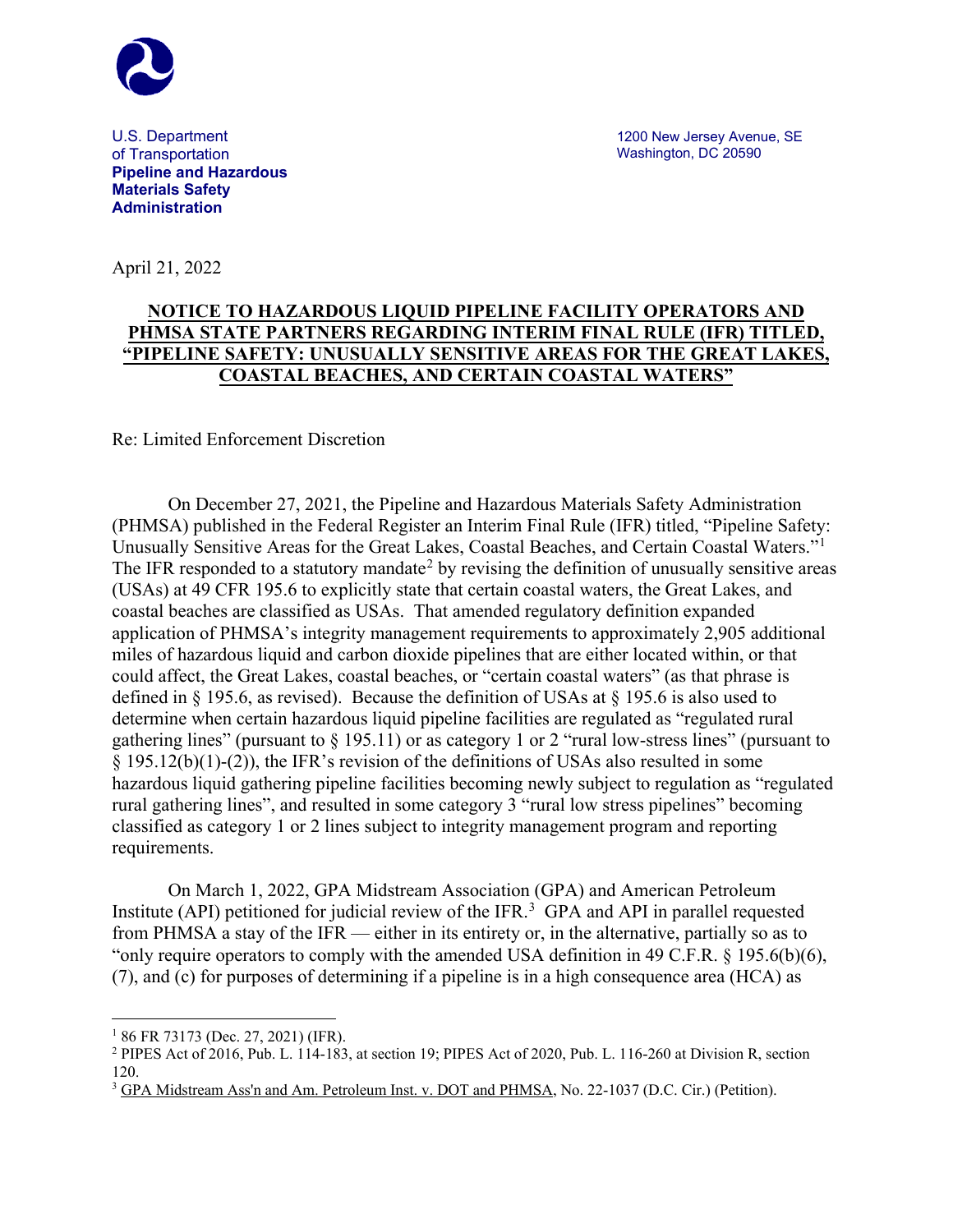

U.S. Department of Transportation **Pipeline and Hazardous Materials Safety Administration**

April 21, 2022

## **NOTICE TO HAZARDOUS LIQUID PIPELINE FACILITY OPERATORS AND PHMSA STATE PARTNERS REGARDING INTERIM FINAL RULE (IFR) TITLED, "PIPELINE SAFETY: UNUSUALLY SENSITIVE AREAS FOR THE GREAT LAKES, COASTAL BEACHES, AND CERTAIN COASTAL WATERS"**

## Re: Limited Enforcement Discretion

On December 27, 2021, the Pipeline and Hazardous Materials Safety Administration (PHMSA) published in the Federal Register an Interim Final Rule (IFR) titled, "Pipeline Safety: Unusually Sensitive Areas for the Great Lakes, Coastal Beaches, and Certain Coastal Waters."[1](#page-0-0) The IFR responded to a statutory mandate<sup>[2](#page-0-1)</sup> by revising the definition of unusually sensitive areas (USAs) at 49 CFR 195.6 to explicitly state that certain coastal waters, the Great Lakes, and coastal beaches are classified as USAs. That amended regulatory definition expanded application of PHMSA's integrity management requirements to approximately 2,905 additional miles of hazardous liquid and carbon dioxide pipelines that are either located within, or that could affect, the Great Lakes, coastal beaches, or "certain coastal waters" (as that phrase is defined in § 195.6, as revised). Because the definition of USAs at § 195.6 is also used to determine when certain hazardous liquid pipeline facilities are regulated as "regulated rural gathering lines" (pursuant to § 195.11) or as category 1 or 2 "rural low-stress lines" (pursuant to § 195.12(b)(1)-(2)), the IFR's revision of the definitions of USAs also resulted in some hazardous liquid gathering pipeline facilities becoming newly subject to regulation as "regulated rural gathering lines", and resulted in some category 3 "rural low stress pipelines" becoming classified as category 1 or 2 lines subject to integrity management program and reporting requirements.

On March 1, 2022, GPA Midstream Association (GPA) and American Petroleum Institute (API) petitioned for judicial review of the IFR.<sup>[3](#page-0-2)</sup> GPA and API in parallel requested from PHMSA a stay of the IFR — either in its entirety or, in the alternative, partially so as to "only require operators to comply with the amended USA definition in 49 C.F.R. § 195.6(b)(6), (7), and (c) for purposes of determining if a pipeline is in a high consequence area (HCA) as

<span id="page-0-0"></span> $186$  FR 73173 (Dec. 27, 2021) (IFR).

<span id="page-0-1"></span><sup>2</sup> PIPES Act of 2016, Pub. L. 114-183, at section 19; PIPES Act of 2020, Pub. L. 116-260 at Division R, section 120.

<span id="page-0-2"></span><sup>3</sup> GPA Midstream Ass'n and Am. Petroleum Inst. v. DOT and PHMSA, No. 22-1037 (D.C. Cir.) (Petition).